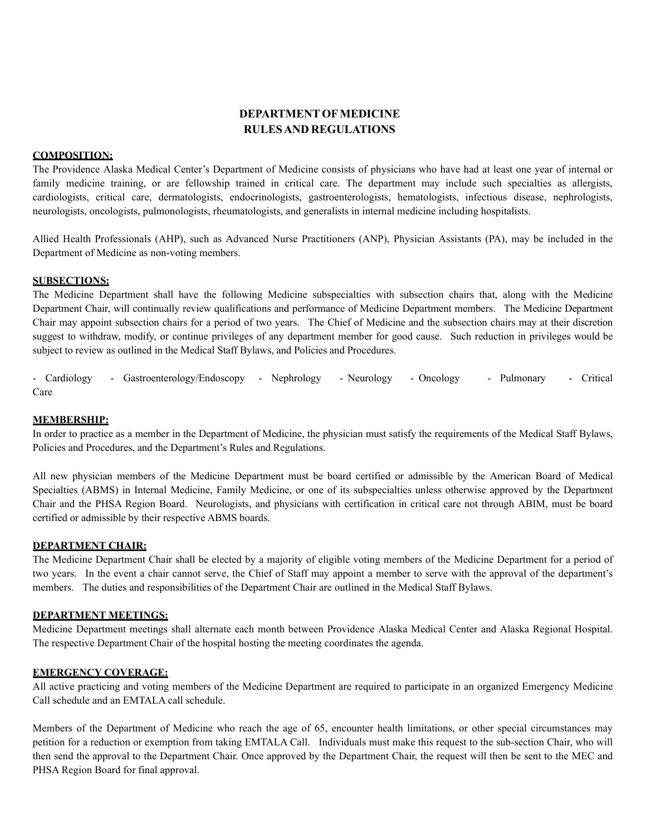# **DEPARTMENT OFMEDICINE RULESAND REGULATIONS**

## **COMPOSITION:**

The Providence Alaska Medical Center's Department of Medicine consists of physicians who have had at least one year of internal or family medicine training, or are fellowship trained in critical care. The department may include such specialties as allergists, cardiologists, critical care, dermatologists, endocrinologists, gastroenterologists, hematologists, infectious disease, nephrologists, neurologists, oncologists, pulmonologists, rheumatologists, and generalists in internal medicine including hospitalists.

Allied Health Professionals (AHP), such as Advanced Nurse Practitioners (ANP), Physician Assistants (PA), may be included in the Department of Medicine as non-voting members.

## **SUBSECTIONS:**

The Medicine Department shall have the following Medicine subspecialties with subsection chairs that, along with the Medicine Department Chair, will continually review qualifications and performance of Medicine Department members. The Medicine Department Chair may appoint subsection chairs for a period of two years. The Chief of Medicine and the subsection chairs may at their discretion suggest to withdraw, modify, or continue privileges of any department member for good cause. Such reduction in privileges would be subject to review as outlined in the Medical Staff Bylaws, and Policies and Procedures.

- Cardiology - Gastroenterology/Endoscopy - Nephrology - Neurology - Oncology - Pulmonary - Critical Care

#### **MEMBERSHIP:**

In order to practice as a member in the Department of Medicine, the physician must satisfy the requirements of the Medical Staff Bylaws, Policies and Procedures, and the Department's Rules and Regulations.

All new physician members of the Medicine Department must be board certified or admissible by the American Board of Medical Specialties (ABMS) in Internal Medicine, Family Medicine, or one of its subspecialties unless otherwise approved by the Department Chair and the PHSA Region Board. Neurologists, and physicians with certification in critical care not through ABIM, must be board certified or admissible by their respective ABMS boards.

#### **DEPARTMENT CHAIR:**

The Medicine Department Chair shall be elected by a majority of eligible voting members of the Medicine Department for a period of two years. In the event a chair cannot serve, the Chief of Staff may appoint a member to serve with the approval of the department's members. The duties and responsibilities of the Department Chair are outlined in the Medical Staff Bylaws.

# **DEPARTMENT MEETINGS:**

Medicine Department meetings shall alternate each month between Providence Alaska Medical Center and Alaska Regional Hospital. The respective Department Chair of the hospital hosting the meeting coordinates the agenda.

## **EMERGENCY COVERAGE:**

All active practicing and voting members of the Medicine Department are required to participate in an organized Emergency Medicine Call schedule and an EMTALA call schedule.

Members of the Department of Medicine who reach the age of 65, encounter health limitations, or other special circumstances may petition for a reduction or exemption from taking EMTALA Call. Individuals must make this request to the sub-section Chair, who will then send the approval to the Department Chair. Once approved by the Department Chair, the request will then be sent to the MEC and PHSA Region Board for final approval.